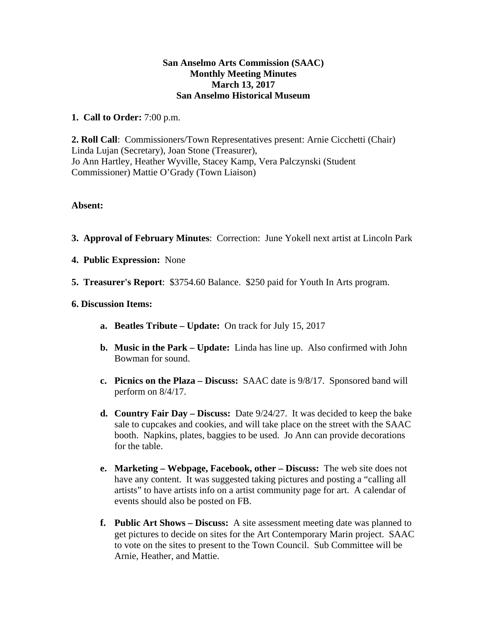## **San Anselmo Arts Commission (SAAC) Monthly Meeting Minutes March 13, 2017 San Anselmo Historical Museum**

**1. Call to Order:** 7:00 p.m.

**2. Roll Call**: Commissioners/Town Representatives present: Arnie Cicchetti (Chair) Linda Lujan (Secretary), Joan Stone (Treasurer), Jo Ann Hartley, Heather Wyville, Stacey Kamp, Vera Palczynski (Student Commissioner) Mattie O'Grady (Town Liaison)

## **Absent:**

- **3. Approval of February Minutes**: Correction: June Yokell next artist at Lincoln Park
- **4. Public Expression:** None
- **5. Treasurer's Report**: \$3754.60 Balance. \$250 paid for Youth In Arts program.
- **6. Discussion Items:** 
	- **a. Beatles Tribute Update:** On track for July 15, 2017
	- **b. Music in the Park Update:** Linda has line up. Also confirmed with John Bowman for sound.
	- **c. Picnics on the Plaza Discuss:** SAAC date is 9/8/17. Sponsored band will perform on 8/4/17.
	- **d. Country Fair Day Discuss:** Date 9/24/27. It was decided to keep the bake sale to cupcakes and cookies, and will take place on the street with the SAAC booth. Napkins, plates, baggies to be used. Jo Ann can provide decorations for the table.
	- **e. Marketing Webpage, Facebook, other Discuss:** The web site does not have any content. It was suggested taking pictures and posting a "calling all artists" to have artists info on a artist community page for art. A calendar of events should also be posted on FB.
	- **f. Public Art Shows Discuss:** A site assessment meeting date was planned to get pictures to decide on sites for the Art Contemporary Marin project. SAAC to vote on the sites to present to the Town Council. Sub Committee will be Arnie, Heather, and Mattie.